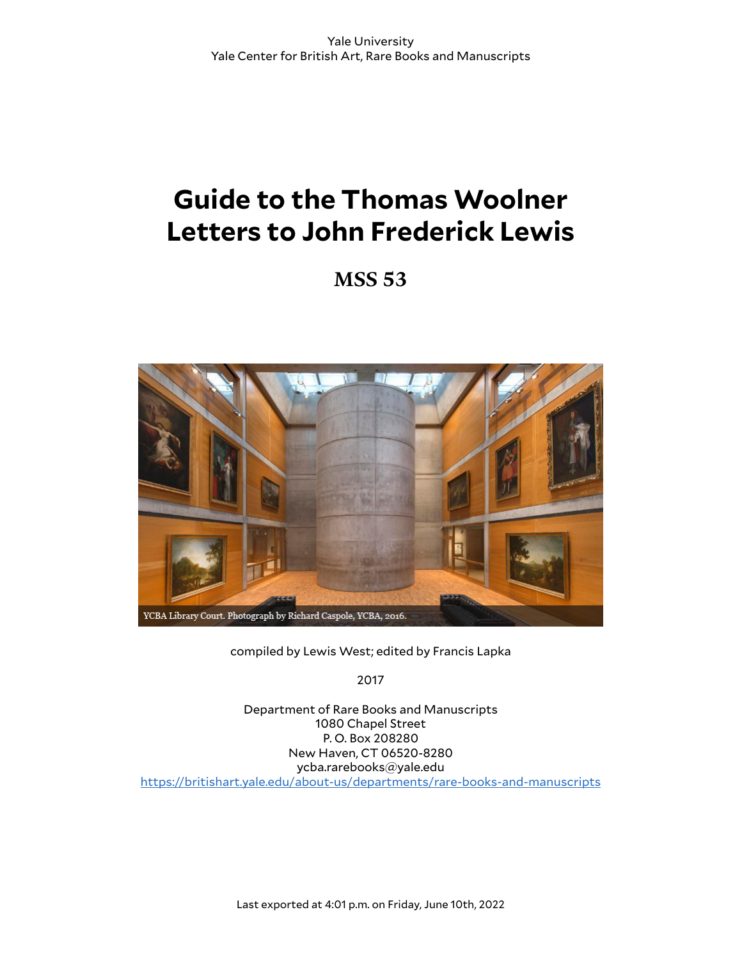# **Guide to the Thomas Woolner Letters to John Frederick Lewis**

**MSS 53**



compiled by Lewis West; edited by Francis Lapka

2017

Department of Rare Books and Manuscripts 1080 Chapel Street P. O. Box 208280 New Haven, CT 06520-8280 ycba.rarebooks@yale.edu <https://britishart.yale.edu/about-us/departments/rare-books-and-manuscripts>

Last exported at 4:01 p.m. on Friday, June 10th, 2022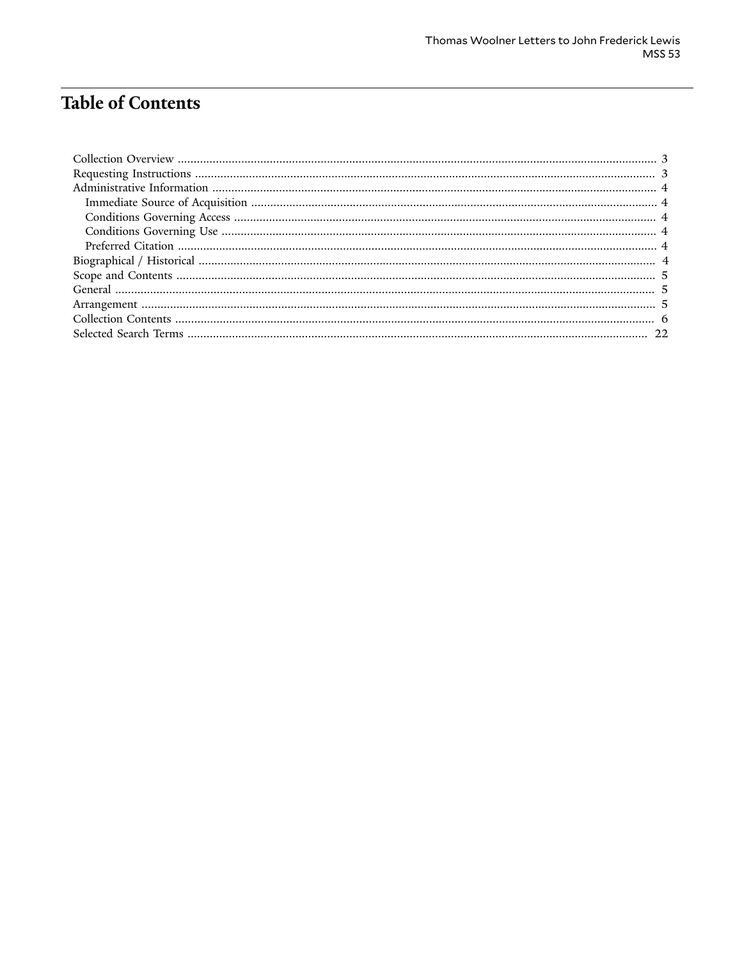# **Table of Contents**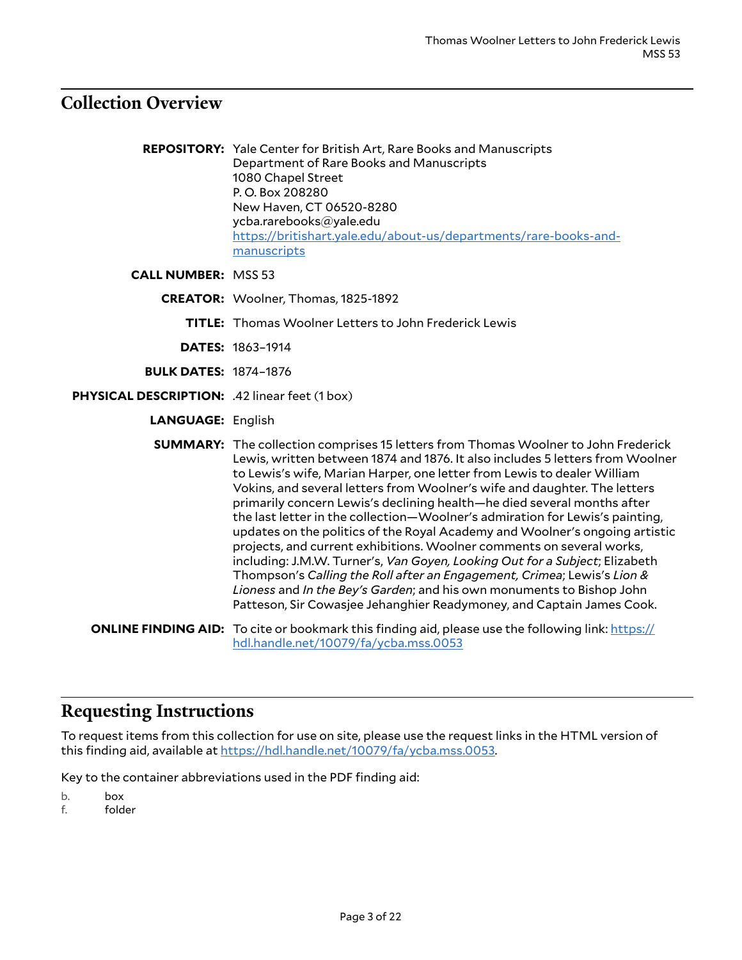# <span id="page-2-0"></span>**Collection Overview**

**REPOSITORY:** Yale Center for British Art, Rare Books and Manuscripts Department of Rare Books and Manuscripts 1080 Chapel Street P. O. Box 208280 New Haven, CT 06520-8280 ycba.rarebooks@yale.edu [https://britishart.yale.edu/about-us/departments/rare-books-and](https://britishart.yale.edu/about-us/departments/rare-books-and-manuscripts)[manuscripts](https://britishart.yale.edu/about-us/departments/rare-books-and-manuscripts)

**CALL NUMBER:** MSS 53

- **CREATOR:** Woolner, Thomas, 1825-1892
	- **TITLE:** Thomas Woolner Letters to John Frederick Lewis
	- **DATES:** 1863–1914
- **BULK DATES:** 1874–1876
- **PHYSICAL DESCRIPTION:** .42 linear feet (1 box)
	- **LANGUAGE:** English

**SUMMARY:** The collection comprises 15 letters from Thomas Woolner to John Frederick Lewis, written between 1874 and 1876. It also includes 5 letters from Woolner to Lewis's wife, Marian Harper, one letter from Lewis to dealer William Vokins, and several letters from Woolner's wife and daughter. The letters primarily concern Lewis's declining health—he died several months after the last letter in the collection—Woolner's admiration for Lewis's painting, updates on the politics of the Royal Academy and Woolner's ongoing artistic projects, and current exhibitions. Woolner comments on several works, including: J.M.W. Turner's, *Van Goyen, Looking Out for a Subject*; Elizabeth Thompson's *Calling the Roll after an Engagement, Crimea*; Lewis's *Lion & Lioness* and *In the Bey's Garden*; and his own monuments to Bishop John Patteson, Sir Cowasjee Jehanghier Readymoney, and Captain James Cook.

**ONLINE FINDING AID:** To cite or bookmark this finding aid, please use the following link: [https://](https://hdl.handle.net/10079/fa/ycba.mss.0053) [hdl.handle.net/10079/fa/ycba.mss.0053](https://hdl.handle.net/10079/fa/ycba.mss.0053)

### <span id="page-2-1"></span>**Requesting Instructions**

To request items from this collection for use on site, please use the request links in the HTML version of this finding aid, available at <https://hdl.handle.net/10079/fa/ycba.mss.0053>.

Key to the container abbreviations used in the PDF finding aid:

- b. box
- f. folder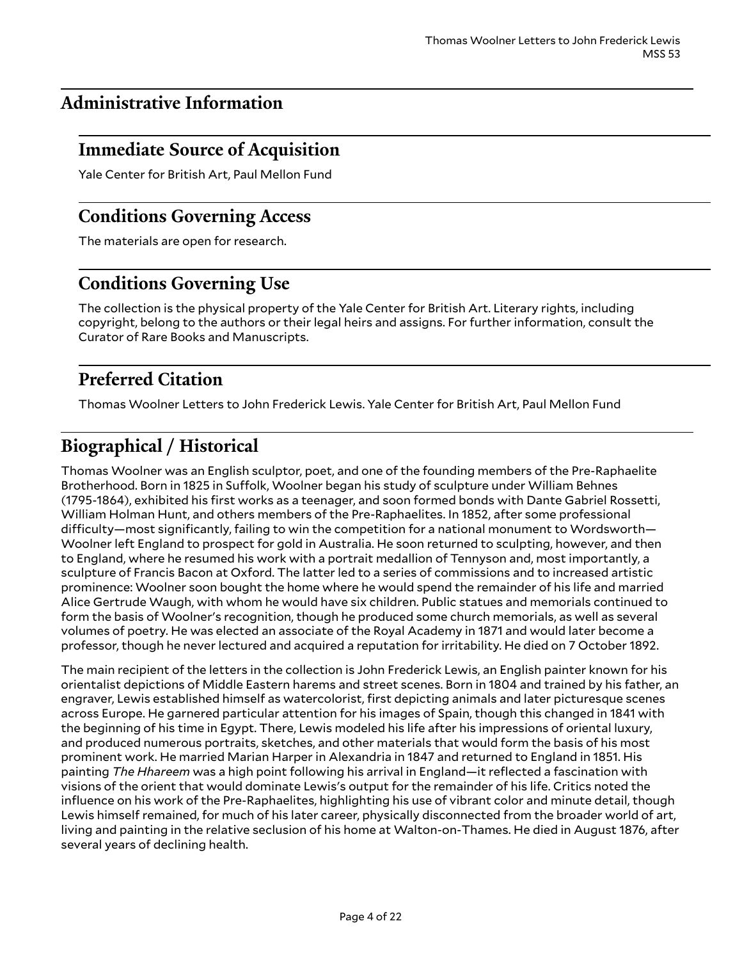# <span id="page-3-0"></span>**Administrative Information**

# <span id="page-3-1"></span>**Immediate Source of Acquisition**

Yale Center for British Art, Paul Mellon Fund

# <span id="page-3-2"></span>**Conditions Governing Access**

The materials are open for research.

# <span id="page-3-3"></span>**Conditions Governing Use**

The collection is the physical property of the Yale Center for British Art. Literary rights, including copyright, belong to the authors or their legal heirs and assigns. For further information, consult the Curator of Rare Books and Manuscripts.

# <span id="page-3-4"></span>**Preferred Citation**

Thomas Woolner Letters to John Frederick Lewis. Yale Center for British Art, Paul Mellon Fund

# <span id="page-3-5"></span>**Biographical / Historical**

Thomas Woolner was an English sculptor, poet, and one of the founding members of the Pre-Raphaelite Brotherhood. Born in 1825 in Suffolk, Woolner began his study of sculpture under William Behnes (1795-1864), exhibited his first works as a teenager, and soon formed bonds with Dante Gabriel Rossetti, William Holman Hunt, and others members of the Pre-Raphaelites. In 1852, after some professional  $difficulty$ —most significantly, failing to win the competition for a national monument to Wordsworth— Woolner left England to prospect for gold in Australia. He soon returned to sculpting, however, and then to England, where he resumed his work with a portrait medallion of Tennyson and, most importantly, a sculpture of Francis Bacon at Oxford. The latter led to a series of commissions and to increased artistic prominence: Woolner soon bought the home where he would spend the remainder of his life and married Alice Gertrude Waugh, with whom he would have six children. Public statues and memorials continued to form the basis of Woolner's recognition, though he produced some church memorials, as well as several volumes of poetry. He was elected an associate of the Royal Academy in 1871 and would later become a professor, though he never lectured and acquired a reputation for irritability. He died on 7 October 1892.

The main recipient of the letters in the collection is John Frederick Lewis, an English painter known for his orientalist depictions of Middle Eastern harems and street scenes. Born in 1804 and trained by his father, an engraver, Lewis established himself as watercolorist, first depicting animals and later picturesque scenes across Europe. He garnered particular attention for his images of Spain, though this changed in 1841 with the beginning of his time in Egypt. There, Lewis modeled his life after his impressions of oriental luxury, and produced numerous portraits, sketches, and other materials that would form the basis of his most prominent work. He married Marian Harper in Alexandria in 1847 and returned to England in 1851. His painting *The Hhareem* was a high point following his arrival in England—it reflected a fascination with visions of the orient that would dominate Lewis's output for the remainder of his life. Critics noted the influence on his work of the Pre-Raphaelites, highlighting his use of vibrant color and minute detail, though Lewis himself remained, for much of his later career, physically disconnected from the broader world of art, living and painting in the relative seclusion of his home at Walton-on-Thames. He died in August 1876, after several years of declining health.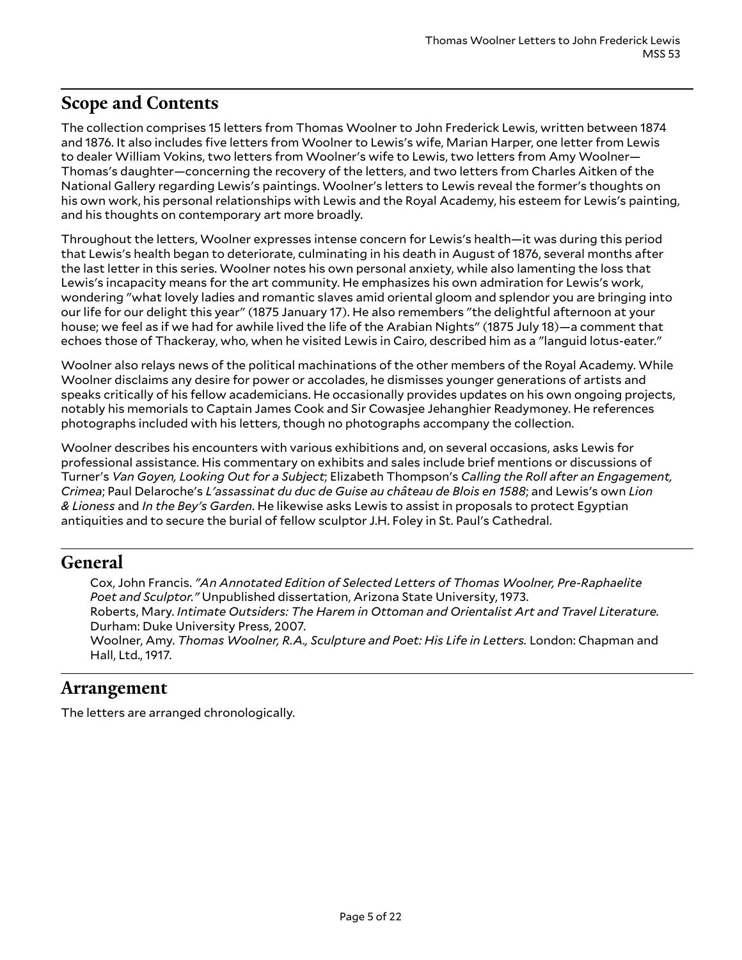# <span id="page-4-0"></span>**Scope and Contents**

The collection comprises 15 letters from Thomas Woolner to John Frederick Lewis, written between 1874 and 1876. It also includes five letters from Woolner to Lewis's wife, Marian Harper, one letter from Lewis to dealer William Vokins, two letters from Woolner's wife to Lewis, two letters from Amy Woolner— Thomas's daughter—concerning the recovery of the letters, and two letters from Charles Aitken of the National Gallery regarding Lewis's paintings. Woolner's letters to Lewis reveal the former's thoughts on his own work, his personal relationships with Lewis and the Royal Academy, his esteem for Lewis's painting, and his thoughts on contemporary art more broadly.

Throughout the letters, Woolner expresses intense concern for Lewis's health—it was during this period that Lewis's health began to deteriorate, culminating in his death in August of 1876, several months after the last letter in this series. Woolner notes his own personal anxiety, while also lamenting the loss that Lewis's incapacity means for the art community. He emphasizes his own admiration for Lewis's work, wondering "what lovely ladies and romantic slaves amid oriental gloom and splendor you are bringing into our life for our delight this year" (1875 January 17). He also remembers "the delightful afternoon at your house; we feel as if we had for awhile lived the life of the Arabian Nights" (1875 July 18)—a comment that echoes those of Thackeray, who, when he visited Lewis in Cairo, described him as a "languid lotus-eater."

Woolner also relays news of the political machinations of the other members of the Royal Academy. While Woolner disclaims any desire for power or accolades, he dismisses younger generations of artists and speaks critically of his fellow academicians. He occasionally provides updates on his own ongoing projects, notably his memorials to Captain James Cook and Sir Cowasjee Jehanghier Readymoney. He references photographs included with his letters, though no photographs accompany the collection.

Woolner describes his encounters with various exhibitions and, on several occasions, asks Lewis for professional assistance. His commentary on exhibits and sales include brief mentions or discussions of Turner's *Van Goyen, Looking Out for a Subject*; Elizabeth Thompson's *Calling the Roll after an Engagement, Crimea*; Paul Delaroche's *L'assassinat du duc de Guise au château de Blois en 1588*; and Lewis's own *Lion & Lioness* and *In the Bey's Garden*. He likewise asks Lewis to assist in proposals to protect Egyptian antiquities and to secure the burial of fellow sculptor J.H. Foley in St. Paul's Cathedral.

### <span id="page-4-1"></span>**General**

Cox, John Francis. *"An Annotated Edition of Selected Letters of Thomas Woolner, Pre-Raphaelite Poet and Sculptor."* Unpublished dissertation, Arizona State University, 1973. Roberts, Mary. *Intimate Outsiders: The Harem in Ottoman and Orientalist Art and Travel Literature.* Durham: Duke University Press, 2007. Woolner, Amy. *Thomas Woolner, R.A., Sculpture and Poet: His Life in Letters.* London: Chapman and Hall, Ltd., 1917.

# <span id="page-4-2"></span>**Arrangement**

The letters are arranged chronologically.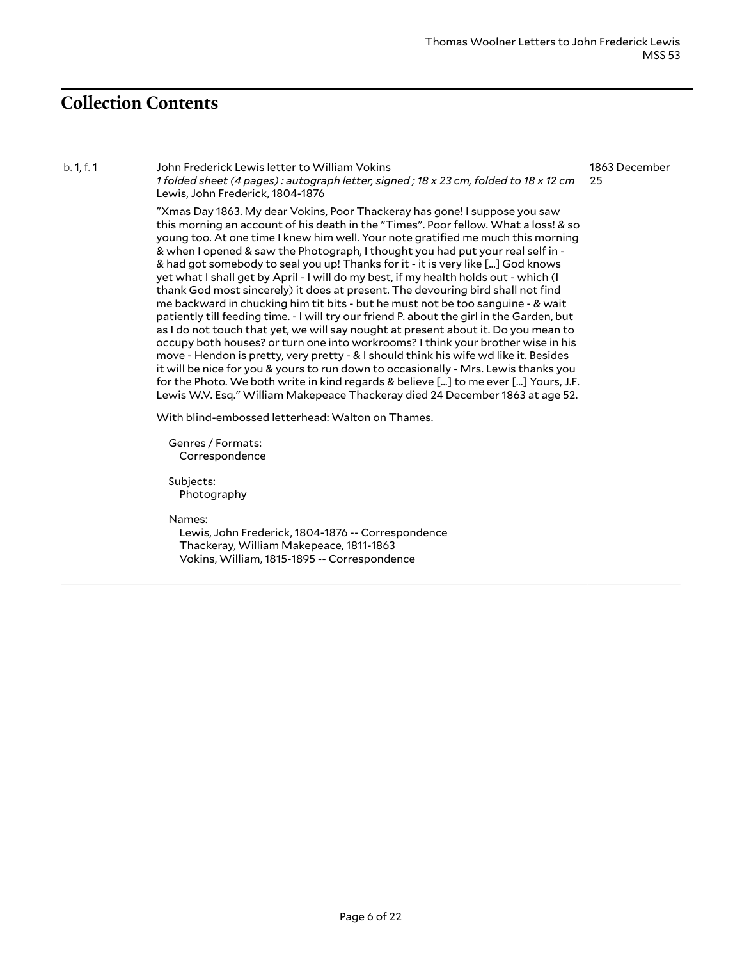# <span id="page-5-0"></span>**Collection Contents**

b. 1, f. 1 John Frederick Lewis letter to William Vokins 1 folded sheet (4 pages): autograph letter, signed; 18 x 23 cm, folded to 18 x 12 cm Lewis, John Frederick, 1804-1876 25

1863 December

"Xmas Day 1863. My dear Vokins, Poor Thackeray has gone! I suppose you saw this morning an account of his death in the "Times". Poor fellow. What a loss! & so young too. At one time I knew him well. Your note gratified me much this morning & when I opened & saw the Photograph, I thought you had put your real self in - & had got somebody to seal you up! Thanks for it - it is very like [...] God knows yet what I shall get by April - I will do my best, if my health holds out - which (I thank God most sincerely) it does at present. The devouring bird shall not find me backward in chucking him tit bits - but he must not be too sanguine - & wait patiently till feeding time. - I will try our friend P. about the girl in the Garden, but as I do not touch that yet, we will say nought at present about it. Do you mean to occupy both houses? or turn one into workrooms? I think your brother wise in his move - Hendon is pretty, very pretty - & I should think his wife wd like it. Besides it will be nice for you & yours to run down to occasionally - Mrs. Lewis thanks you for the Photo. We both write in kind regards & believe [...] to me ever [...] Yours, J.F. Lewis W.V. Esq." William Makepeace Thackeray died 24 December 1863 at age 52.

With blind-embossed letterhead: Walton on Thames.

Genres / Formats: Correspondence

Subjects: Photography

Names:

Lewis, John Frederick, 1804-1876 -- Correspondence Thackeray, William Makepeace, 1811-1863 Vokins, William, 1815-1895 -- Correspondence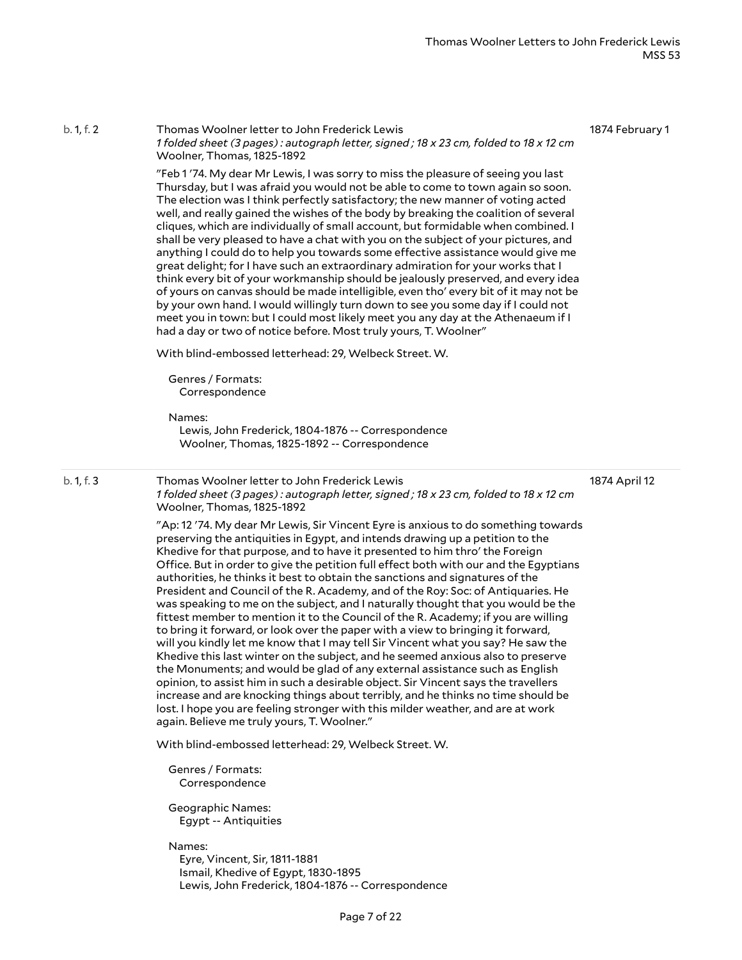1874 February 1

"Feb 1 '74. My dear Mr Lewis, I was sorry to miss the pleasure of seeing you last Thursday, but I was afraid you would not be able to come to town again so soon. The election was I think perfectly satisfactory; the new manner of voting acted well, and really gained the wishes of the body by breaking the coalition of several cliques, which are individually of small account, but formidable when combined. I shall be very pleased to have a chat with you on the subject of your pictures, and anything I could do to help you towards some effective assistance would give me great delight; for I have such an extraordinary admiration for your works that I think every bit of your workmanship should be jealously preserved, and every idea of yours on canvas should be made intelligible, even tho' every bit of it may not be by your own hand. I would willingly turn down to see you some day if I could not meet you in town: but I could most likely meet you any day at the Athenaeum if I had a day or two of notice before. Most truly yours, T. Woolner" With blind-embossed letterhead: 29, Welbeck Street. W. Genres / Formats: Correspondence Names: Lewis, John Frederick, 1804-1876 -- Correspondence Woolner, Thomas, 1825-1892 -- Correspondence b. 1, f. 3 Thomas Woolner letter to John Frederick Lewis 1 folded sheet (3 pages): autograph letter, signed; 18 x 23 cm, folded to 18 x 12 cm Woolner, Thomas, 1825-1892 "Ap: 12 '74. My dear Mr Lewis, Sir Vincent Eyre is anxious to do something towards preserving the antiquities in Egypt, and intends drawing up a petition to the Khedive for that purpose, and to have it presented to him thro' the Foreign Office. But in order to give the petition full effect both with our and the Egyptians authorities, he thinks it best to obtain the sanctions and signatures of the President and Council of the R. Academy, and of the Roy: Soc: of Antiquaries. He was speaking to me on the subject, and I naturally thought that you would be the fittest member to mention it to the Council of the R. Academy; if you are willing to bring it forward, or look over the paper with a view to bringing it forward, will you kindly let me know that I may tell Sir Vincent what you say? He saw the Khedive this last winter on the subject, and he seemed anxious also to preserve 1874 April 12

1 folded sheet (3 pages): autograph letter, signed; 18 x 23 cm, folded to 18 x 12 cm

the Monuments; and would be glad of any external assistance such as English opinion, to assist him in such a desirable object. Sir Vincent says the travellers increase and are knocking things about terribly, and he thinks no time should be lost. I hope you are feeling stronger with this milder weather, and are at work again. Believe me truly yours, T. Woolner."

With blind-embossed letterhead: 29, Welbeck Street. W.

Genres / Formats: Correspondence

b. 1, f. 2 Thomas Woolner letter to John Frederick Lewis

Woolner, Thomas, 1825-1892

Geographic Names: Egypt -- Antiquities

Names:

Eyre, Vincent, Sir, 1811-1881 Ismail, Khedive of Egypt, 1830-1895 Lewis, John Frederick, 1804-1876 -- Correspondence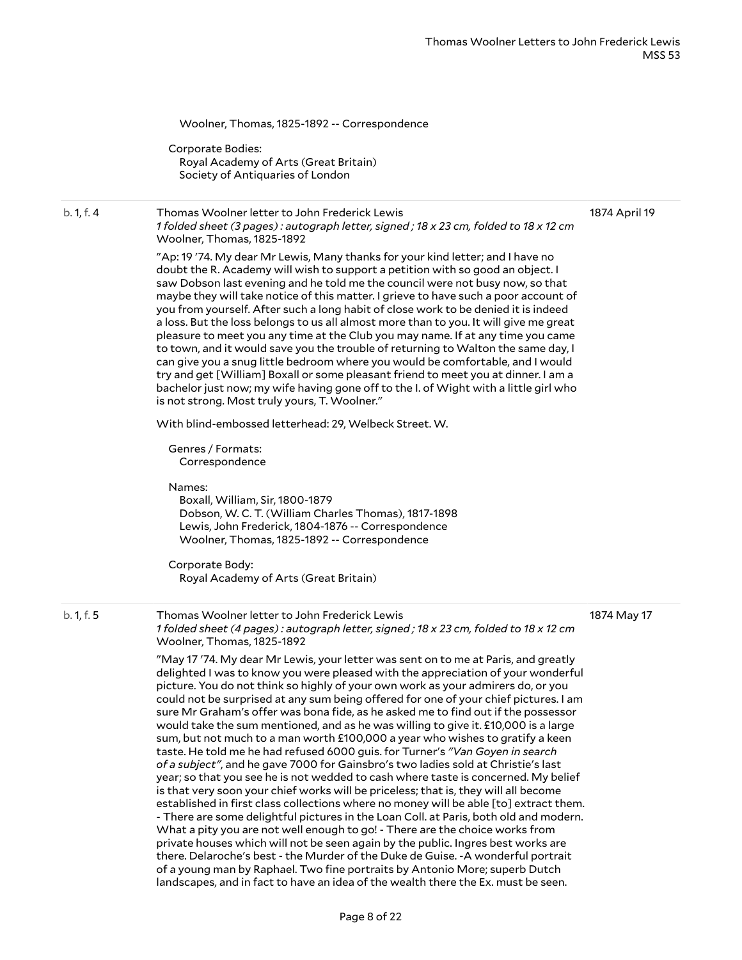Woolner, Thomas, 1825-1892 -- Correspondence

Corporate Bodies: Royal Academy of Arts (Great Britain) Society of Antiquaries of London

#### b. 1, f. 4 Thomas Woolner letter to John Frederick Lewis 1 folded sheet (3 pages): autograph letter, signed; 18 x 23 cm, folded to 18 x 12 cm Woolner, Thomas, 1825-1892 1874 April 19

"Ap: 19 '74. My dear Mr Lewis, Many thanks for your kind letter; and I have no doubt the R. Academy will wish to support a petition with so good an object. I saw Dobson last evening and he told me the council were not busy now, so that maybe they will take notice of this matter. I grieve to have such a poor account of you from yourself. After such a long habit of close work to be denied it is indeed a loss. But the loss belongs to us all almost more than to you. It will give me great pleasure to meet you any time at the Club you may name. If at any time you came to town, and it would save you the trouble of returning to Walton the same day, I can give you a snug little bedroom where you would be comfortable, and I would try and get [William] Boxall or some pleasant friend to meet you at dinner. I am a

bachelor just now; my wife having gone off to the I. of Wight with a little girl who

With blind-embossed letterhead: 29, Welbeck Street. W.

is not strong. Most truly yours, T. Woolner."

Genres / Formats: Correspondence

Names:

Boxall, William, Sir, 1800-1879 Dobson, W. C. T. (William Charles Thomas), 1817-1898 Lewis, John Frederick, 1804-1876 -- Correspondence Woolner, Thomas, 1825-1892 -- Correspondence

Corporate Body: Royal Academy of Arts (Great Britain)

b. 1, f. 5 Thomas Woolner letter to John Frederick Lewis 1 folded sheet (4 pages): autograph letter, signed; 18 x 23 cm, folded to 18 x 12 cm Woolner, Thomas, 1825-1892

1874 May 17

"May 17 '74. My dear Mr Lewis, your letter was sent on to me at Paris, and greatly delighted I was to know you were pleased with the appreciation of your wonderful picture. You do not think so highly of your own work as your admirers do, or you could not be surprised at any sum being offered for one of your chief pictures. I am sure Mr Graham's offer was bona fide, as he asked me to find out if the possessor would take the sum mentioned, and as he was willing to give it. £10,000 is a large sum, but not much to a man worth £100,000 a year who wishes to gratify a keen taste. He told me he had refused 6000 guis. for Turner's *"Van Goyen in search of a subject"*, and he gave 7000 for Gainsbro's two ladies sold at Christie's last year; so that you see he is not wedded to cash where taste is concerned. My belief is that very soon your chief works will be priceless; that is, they will all become established in first class collections where no money will be able [to] extract them. - There are some delightful pictures in the Loan Coll. at Paris, both old and modern. What a pity you are not well enough to go! - There are the choice works from private houses which will not be seen again by the public. Ingres best works are there. Delaroche's best - the Murder of the Duke de Guise. -A wonderful portrait of a young man by Raphael. Two fine portraits by Antonio More; superb Dutch landscapes, and in fact to have an idea of the wealth there the Ex. must be seen.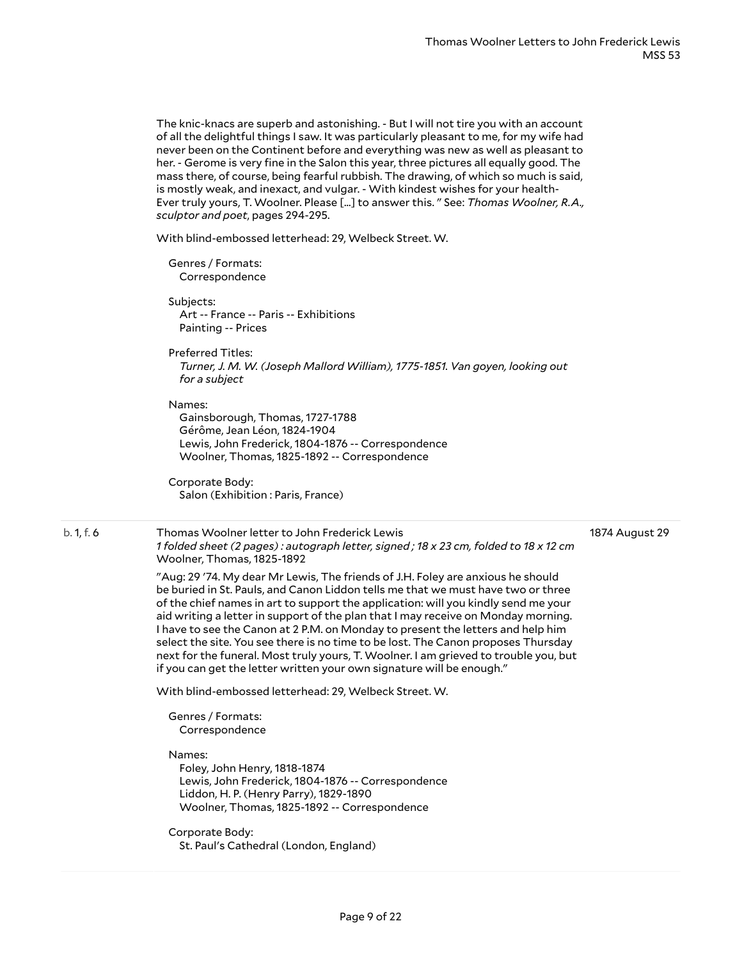The knic-knacs are superb and astonishing. - But I will not tire you with an account of all the delightful things I saw. It was particularly pleasant to me, for my wife had never been on the Continent before and everything was new as well as pleasant to her. - Gerome is very fine in the Salon this year, three pictures all equally good. The mass there, of course, being fearful rubbish. The drawing, of which so much is said, is mostly weak, and inexact, and vulgar. - With kindest wishes for your health-Ever truly yours, T. Woolner. Please [...] to answer this. " See: *Thomas Woolner, R.A., sculptor and poet*, pages 294-295.

With blind-embossed letterhead: 29, Welbeck Street. W.

Genres / Formats: Correspondence

Subjects: Art -- France -- Paris -- Exhibitions Painting -- Prices

Preferred Titles: *Turner, J. M. W. (Joseph Mallord William), 1775-1851. Van goyen, looking out for a subject*

#### Names:

Gainsborough, Thomas, 1727-1788 Gérôme, Jean Léon, 1824-1904 Lewis, John Frederick, 1804-1876 -- Correspondence Woolner, Thomas, 1825-1892 -- Correspondence

Corporate Body: Salon (Exhibition : Paris, France)

#### 1874 August 29

b. 1, f. 6 Thomas Woolner letter to John Frederick Lewis 1 folded sheet (2 pages): autograph letter, signed; 18 x 23 cm, folded to 18 x 12 cm Woolner, Thomas, 1825-1892

> "Aug: 29 '74. My dear Mr Lewis, The friends of J.H. Foley are anxious he should be buried in St. Pauls, and Canon Liddon tells me that we must have two or three of the chief names in art to support the application: will you kindly send me your aid writing a letter in support of the plan that I may receive on Monday morning. I have to see the Canon at 2 P.M. on Monday to present the letters and help him select the site. You see there is no time to be lost. The Canon proposes Thursday next for the funeral. Most truly yours, T. Woolner. I am grieved to trouble you, but if you can get the letter written your own signature will be enough."

With blind-embossed letterhead: 29, Welbeck Street. W.

Genres / Formats: Correspondence

Names:

Foley, John Henry, 1818-1874 Lewis, John Frederick, 1804-1876 -- Correspondence Liddon, H. P. (Henry Parry), 1829-1890 Woolner, Thomas, 1825-1892 -- Correspondence

Corporate Body: St. Paul's Cathedral (London, England)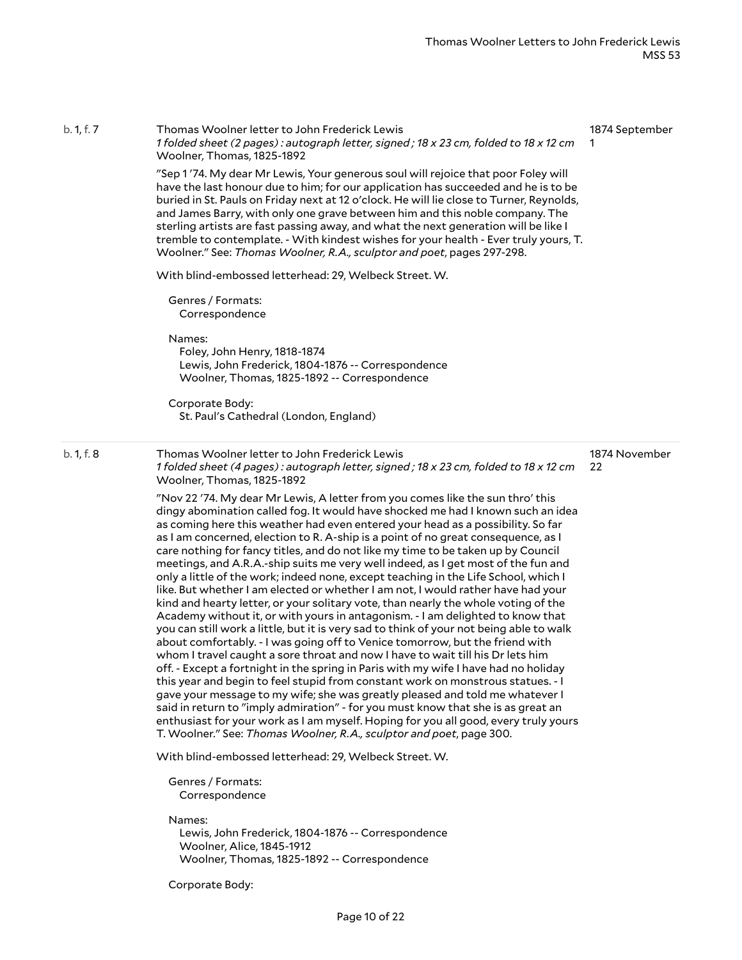| b. 1, f. 7 | Thomas Woolner letter to John Frederick Lewis<br>1 folded sheet (2 pages): autograph letter, signed; 18 x 23 cm, folded to 18 x 12 cm<br>Woolner, Thomas, 1825-1892                                                                                                                                                                                                                                                                                                                                                                                                                                                                                                                                                                                                                                                                                                                                                                                                                                                                                                                                                                                                                                                                                                                                                                                                                                                                                                                                                                                                                                                                                                                                       | 1874 September      |
|------------|-----------------------------------------------------------------------------------------------------------------------------------------------------------------------------------------------------------------------------------------------------------------------------------------------------------------------------------------------------------------------------------------------------------------------------------------------------------------------------------------------------------------------------------------------------------------------------------------------------------------------------------------------------------------------------------------------------------------------------------------------------------------------------------------------------------------------------------------------------------------------------------------------------------------------------------------------------------------------------------------------------------------------------------------------------------------------------------------------------------------------------------------------------------------------------------------------------------------------------------------------------------------------------------------------------------------------------------------------------------------------------------------------------------------------------------------------------------------------------------------------------------------------------------------------------------------------------------------------------------------------------------------------------------------------------------------------------------|---------------------|
|            | "Sep 1'74. My dear Mr Lewis, Your generous soul will rejoice that poor Foley will<br>have the last honour due to him; for our application has succeeded and he is to be<br>buried in St. Pauls on Friday next at 12 o'clock. He will lie close to Turner, Reynolds,<br>and James Barry, with only one grave between him and this noble company. The<br>sterling artists are fast passing away, and what the next generation will be like I<br>tremble to contemplate. - With kindest wishes for your health - Ever truly yours, T.<br>Woolner." See: Thomas Woolner, R.A., sculptor and poet, pages 297-298.                                                                                                                                                                                                                                                                                                                                                                                                                                                                                                                                                                                                                                                                                                                                                                                                                                                                                                                                                                                                                                                                                              |                     |
|            | With blind-embossed letterhead: 29, Welbeck Street. W.                                                                                                                                                                                                                                                                                                                                                                                                                                                                                                                                                                                                                                                                                                                                                                                                                                                                                                                                                                                                                                                                                                                                                                                                                                                                                                                                                                                                                                                                                                                                                                                                                                                    |                     |
|            | Genres / Formats:<br>Correspondence                                                                                                                                                                                                                                                                                                                                                                                                                                                                                                                                                                                                                                                                                                                                                                                                                                                                                                                                                                                                                                                                                                                                                                                                                                                                                                                                                                                                                                                                                                                                                                                                                                                                       |                     |
|            | Names:<br>Foley, John Henry, 1818-1874<br>Lewis, John Frederick, 1804-1876 -- Correspondence<br>Woolner, Thomas, 1825-1892 -- Correspondence                                                                                                                                                                                                                                                                                                                                                                                                                                                                                                                                                                                                                                                                                                                                                                                                                                                                                                                                                                                                                                                                                                                                                                                                                                                                                                                                                                                                                                                                                                                                                              |                     |
|            | Corporate Body:<br>St. Paul's Cathedral (London, England)                                                                                                                                                                                                                                                                                                                                                                                                                                                                                                                                                                                                                                                                                                                                                                                                                                                                                                                                                                                                                                                                                                                                                                                                                                                                                                                                                                                                                                                                                                                                                                                                                                                 |                     |
| b. 1, f. 8 | Thomas Woolner letter to John Frederick Lewis<br>1 folded sheet (4 pages): autograph letter, signed; 18 x 23 cm, folded to 18 x 12 cm<br>Woolner, Thomas, 1825-1892                                                                                                                                                                                                                                                                                                                                                                                                                                                                                                                                                                                                                                                                                                                                                                                                                                                                                                                                                                                                                                                                                                                                                                                                                                                                                                                                                                                                                                                                                                                                       | 1874 November<br>22 |
|            | "Nov 22 '74. My dear Mr Lewis, A letter from you comes like the sun thro' this<br>dingy abomination called fog. It would have shocked me had I known such an idea<br>as coming here this weather had even entered your head as a possibility. So far<br>as I am concerned, election to R. A-ship is a point of no great consequence, as I<br>care nothing for fancy titles, and do not like my time to be taken up by Council<br>meetings, and A.R.A.-ship suits me very well indeed, as I get most of the fun and<br>only a little of the work; indeed none, except teaching in the Life School, which I<br>like. But whether I am elected or whether I am not, I would rather have had your<br>kind and hearty letter, or your solitary vote, than nearly the whole voting of the<br>Academy without it, or with yours in antagonism. - I am delighted to know that<br>you can still work a little, but it is very sad to think of your not being able to walk<br>about comfortably. - I was going off to Venice tomorrow, but the friend with<br>whom I travel caught a sore throat and now I have to wait till his Dr lets him<br>off. - Except a fortnight in the spring in Paris with my wife I have had no holiday<br>this year and begin to feel stupid from constant work on monstrous statues. - I<br>gave your message to my wife; she was greatly pleased and told me whatever I<br>said in return to "imply admiration" - for you must know that she is as great an<br>enthusiast for your work as I am myself. Hoping for you all good, every truly yours<br>T. Woolner." See: Thomas Woolner, R.A., sculptor and poet, page 300.<br>With blind-embossed letterhead: 29, Welbeck Street. W. |                     |
|            |                                                                                                                                                                                                                                                                                                                                                                                                                                                                                                                                                                                                                                                                                                                                                                                                                                                                                                                                                                                                                                                                                                                                                                                                                                                                                                                                                                                                                                                                                                                                                                                                                                                                                                           |                     |
|            | Genres / Formats:<br>Correspondence                                                                                                                                                                                                                                                                                                                                                                                                                                                                                                                                                                                                                                                                                                                                                                                                                                                                                                                                                                                                                                                                                                                                                                                                                                                                                                                                                                                                                                                                                                                                                                                                                                                                       |                     |
|            | Names:<br>Lewis, John Frederick, 1804-1876 -- Correspondence<br>Woolner, Alice, 1845-1912<br>Woolner, Thomas, 1825-1892 -- Correspondence                                                                                                                                                                                                                                                                                                                                                                                                                                                                                                                                                                                                                                                                                                                                                                                                                                                                                                                                                                                                                                                                                                                                                                                                                                                                                                                                                                                                                                                                                                                                                                 |                     |

Corporate Body: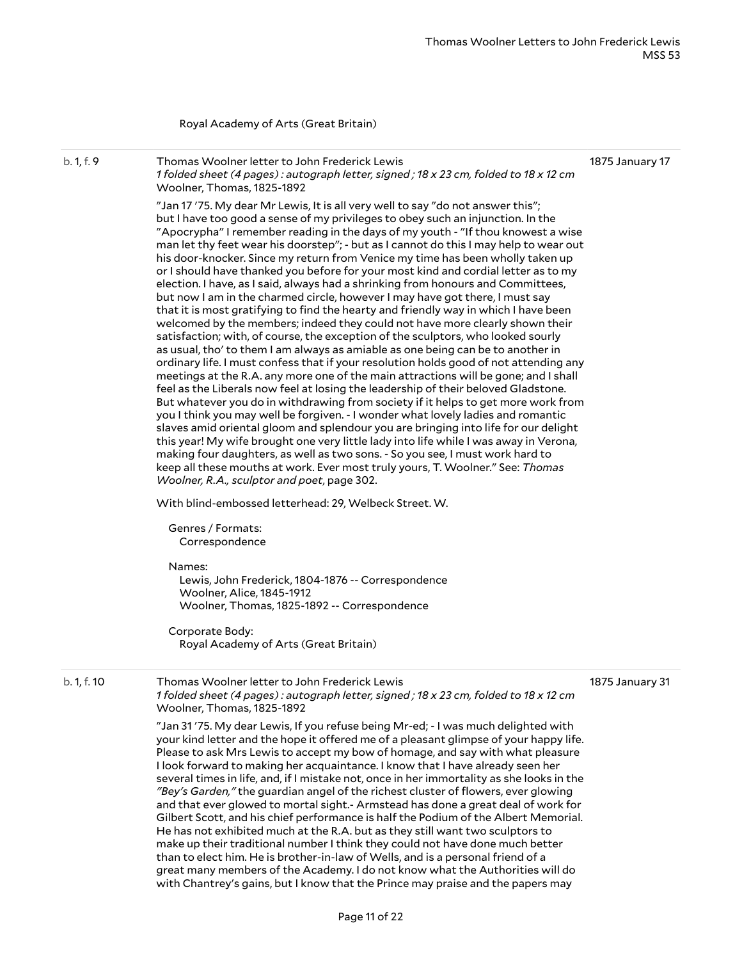#### Royal Academy of Arts (Great Britain)

b. 1, f. 9 Thomas Woolner letter to John Frederick Lewis 1 folded sheet (4 pages): autograph letter, signed; 18 x 23 cm, folded to 18 x 12 cm Woolner, Thomas, 1825-1892

1875 January 17

"Jan 17 '75. My dear Mr Lewis, It is all very well to say "do not answer this"; but I have too good a sense of my privileges to obey such an injunction. In the "Apocrypha" I remember reading in the days of my youth - "If thou knowest a wise man let thy feet wear his doorstep"; - but as I cannot do this I may help to wear out his door-knocker. Since my return from Venice my time has been wholly taken up or I should have thanked you before for your most kind and cordial letter as to my election. I have, as I said, always had a shrinking from honours and Committees, but now I am in the charmed circle, however I may have got there, I must say that it is most gratifying to find the hearty and friendly way in which I have been welcomed by the members; indeed they could not have more clearly shown their satisfaction; with, of course, the exception of the sculptors, who looked sourly as usual, tho' to them I am always as amiable as one being can be to another in ordinary life. I must confess that if your resolution holds good of not attending any meetings at the R.A. any more one of the main attractions will be gone; and I shall feel as the Liberals now feel at losing the leadership of their beloved Gladstone. But whatever you do in withdrawing from society if it helps to get more work from you I think you may well be forgiven. - I wonder what lovely ladies and romantic slaves amid oriental gloom and splendour you are bringing into life for our delight this year! My wife brought one very little lady into life while I was away in Verona, making four daughters, as well as two sons. - So you see, I must work hard to keep all these mouths at work. Ever most truly yours, T. Woolner." See: *Thomas Woolner, R.A., sculptor and poet*, page 302.

With blind-embossed letterhead: 29, Welbeck Street. W.

Genres / Formats: Correspondence

Names:

Lewis, John Frederick, 1804-1876 -- Correspondence Woolner, Alice, 1845-1912 Woolner, Thomas, 1825-1892 -- Correspondence

Corporate Body: Royal Academy of Arts (Great Britain)

| b. 1. f. 10 | Thomas Woolner letter to John Frederick Lewis                                        | 1875 January 31 |
|-------------|--------------------------------------------------------------------------------------|-----------------|
|             | 1 folded sheet (4 pages): autograph letter, signed; 18 x 23 cm, folded to 18 x 12 cm |                 |
|             | Woolner, Thomas, 1825-1892                                                           |                 |

"Jan 31 '75. My dear Lewis, If you refuse being Mr-ed; - I was much delighted with your kind letter and the hope it offered me of a pleasant glimpse of your happy life. Please to ask Mrs Lewis to accept my bow of homage, and say with what pleasure I look forward to making her acquaintance. I know that I have already seen her several times in life, and, if I mistake not, once in her immortality as she looks in the *"Bey's Garden,"* the guardian angel of the richest cluster of flowers, ever glowing and that ever glowed to mortal sight.- Armstead has done a great deal of work for Gilbert Scott, and his chief performance is half the Podium of the Albert Memorial. He has not exhibited much at the R.A. but as they still want two sculptors to make up their traditional number I think they could not have done much better than to elect him. He is brother-in-law of Wells, and is a personal friend of a great many members of the Academy. I do not know what the Authorities will do with Chantrey's gains, but I know that the Prince may praise and the papers may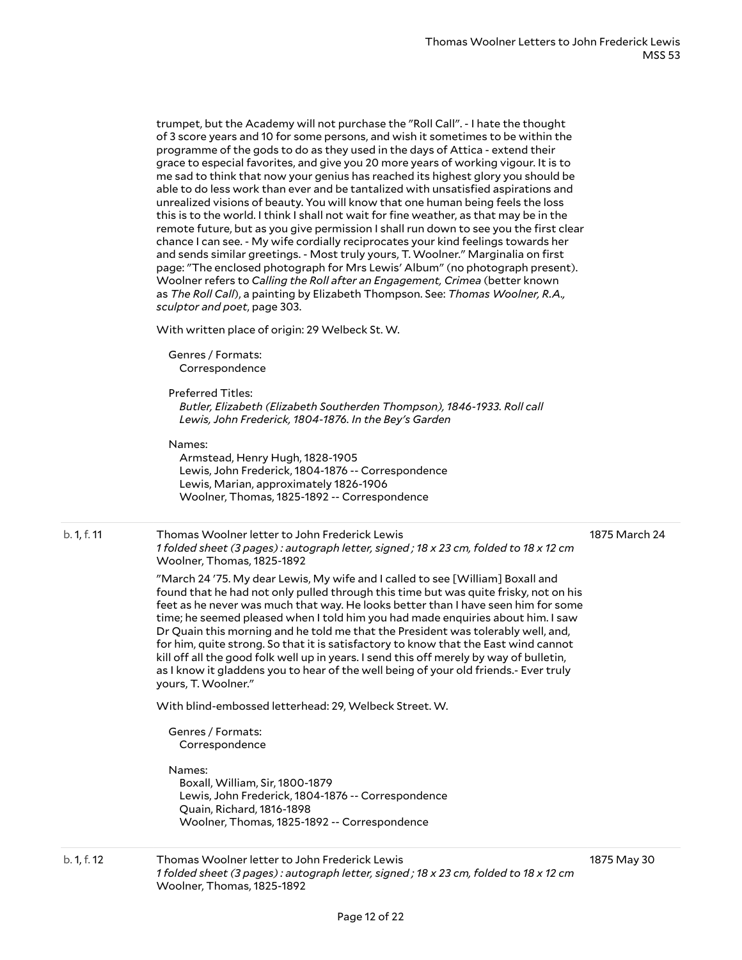trumpet, but the Academy will not purchase the "Roll Call". - I hate the thought of 3 score years and 10 for some persons, and wish it sometimes to be within the programme of the gods to do as they used in the days of Attica - extend their grace to especial favorites, and give you 20 more years of working vigour. It is to me sad to think that now your genius has reached its highest glory you should be able to do less work than ever and be tantalized with unsatisfied aspirations and unrealized visions of beauty. You will know that one human being feels the loss this is to the world. I think I shall not wait for fine weather, as that may be in the remote future, but as you give permission I shall run down to see you the first clear chance I can see. - My wife cordially reciprocates your kind feelings towards her and sends similar greetings. - Most truly yours, T. Woolner." Marginalia on first page: "The enclosed photograph for Mrs Lewis' Album" (no photograph present). Woolner refers to *Calling the Roll after an Engagement, Crimea* (better known as *The Roll Call*), a painting by Elizabeth Thompson. See: *Thomas Woolner, R.A., sculptor and poet*, page 303.

With written place of origin: 29 Welbeck St. W.

Genres / Formats: Correspondence

#### Preferred Titles:

*Butler, Elizabeth (Elizabeth Southerden Thompson), 1846-1933. Roll call Lewis, John Frederick, 1804-1876. In the Bey's Garden*

#### Names:

Armstead, Henry Hugh, 1828-1905 Lewis, John Frederick, 1804-1876 -- Correspondence Lewis, Marian, approximately 1826-1906 Woolner, Thomas, 1825-1892 -- Correspondence

#### b. 1, f. 11 Thomas Woolner letter to John Frederick Lewis 1 folded sheet (3 pages): autograph letter, signed; 18 x 23 cm, folded to 18 x 12 cm

Woolner, Thomas, 1825-1892

1875 March 24

"March 24 '75. My dear Lewis, My wife and I called to see [William] Boxall and found that he had not only pulled through this time but was quite frisky, not on his feet as he never was much that way. He looks better than I have seen him for some time; he seemed pleased when I told him you had made enquiries about him. I saw Dr Quain this morning and he told me that the President was tolerably well, and, for him, quite strong. So that it is satisfactory to know that the East wind cannot kill off all the good folk well up in years. I send this off merely by way of bulletin, as I know it gladdens you to hear of the well being of your old friends.- Ever truly yours, T. Woolner."

With blind-embossed letterhead: 29, Welbeck Street. W.

Genres / Formats: Correspondence

Names:

Boxall, William, Sir, 1800-1879 Lewis, John Frederick, 1804-1876 -- Correspondence Quain, Richard, 1816-1898 Woolner, Thomas, 1825-1892 -- Correspondence

#### b. 1, f. 12 Thomas Woolner letter to John Frederick Lewis 1 folded sheet (3 pages): autograph letter, signed; 18 x 23 cm, folded to 18 x 12 cm Woolner, Thomas, 1825-1892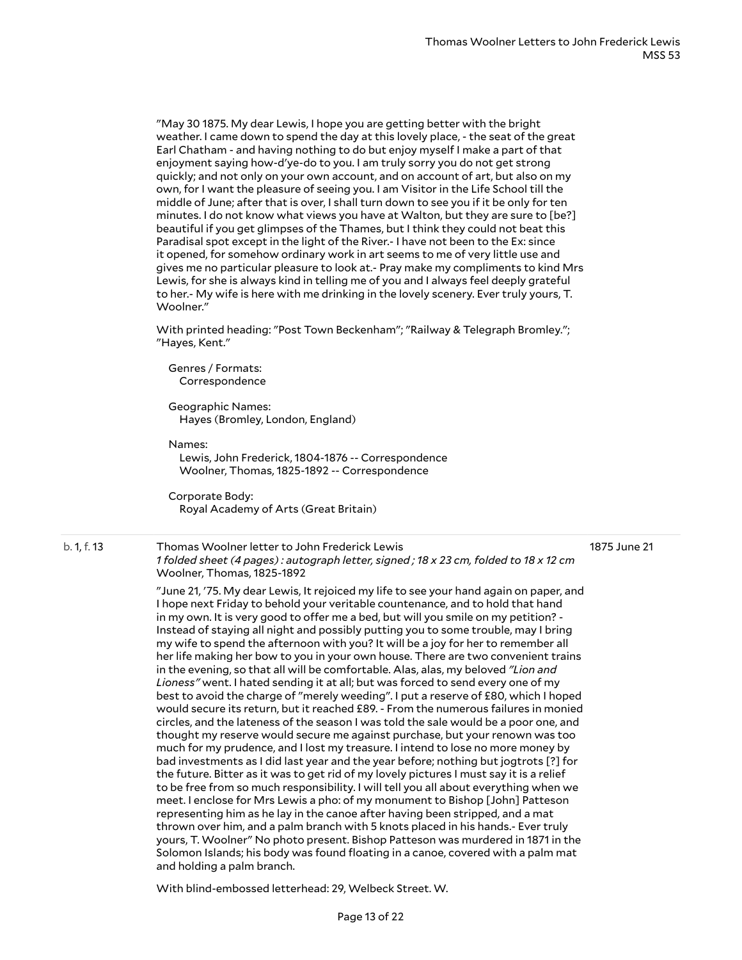"May 30 1875. My dear Lewis, I hope you are getting better with the bright weather. I came down to spend the day at this lovely place, - the seat of the great Earl Chatham - and having nothing to do but enjoy myself I make a part of that enjoyment saying how-d'ye-do to you. I am truly sorry you do not get strong quickly; and not only on your own account, and on account of art, but also on my own, for I want the pleasure of seeing you. I am Visitor in the Life School till the middle of June; after that is over, I shall turn down to see you if it be only for ten minutes. I do not know what views you have at Walton, but they are sure to [be?] beautiful if you get glimpses of the Thames, but I think they could not beat this Paradisal spot except in the light of the River.- I have not been to the Ex: since it opened, for somehow ordinary work in art seems to me of very little use and gives me no particular pleasure to look at.- Pray make my compliments to kind Mrs Lewis, for she is always kind in telling me of you and I always feel deeply grateful to her.- My wife is here with me drinking in the lovely scenery. Ever truly yours, T. Woolner."

With printed heading: "Post Town Beckenham"; "Railway & Telegraph Bromley."; "Hayes, Kent."

Genres / Formats: Correspondence

Geographic Names: Hayes (Bromley, London, England)

Names:

Lewis, John Frederick, 1804-1876 -- Correspondence Woolner, Thomas, 1825-1892 -- Correspondence

Corporate Body: Royal Academy of Arts (Great Britain)

b. 1, f. 13 Thomas Woolner letter to John Frederick Lewis 1 folded sheet (4 pages): autograph letter, signed; 18 x 23 cm, folded to 18 x 12 cm Woolner, Thomas, 1825-1892 1875 June 21

> "June 21, '75. My dear Lewis, It rejoiced my life to see your hand again on paper, and I hope next Friday to behold your veritable countenance, and to hold that hand in my own. It is very good to offer me a bed, but will you smile on my petition? -Instead of staying all night and possibly putting you to some trouble, may I bring my wife to spend the afternoon with you? It will be a joy for her to remember all her life making her bow to you in your own house. There are two convenient trains in the evening, so that all will be comfortable. Alas, alas, my beloved *"Lion and Lioness"* went. I hated sending it at all; but was forced to send every one of my best to avoid the charge of "merely weeding". I put a reserve of £80, which I hoped would secure its return, but it reached £89. - From the numerous failures in monied circles, and the lateness of the season I was told the sale would be a poor one, and thought my reserve would secure me against purchase, but your renown was too much for my prudence, and I lost my treasure. I intend to lose no more money by bad investments as I did last year and the year before; nothing but jogtrots [?] for the future. Bitter as it was to get rid of my lovely pictures I must say it is a relief to be free from so much responsibility. I will tell you all about everything when we meet. I enclose for Mrs Lewis a pho: of my monument to Bishop [John] Patteson representing him as he lay in the canoe after having been stripped, and a mat thrown over him, and a palm branch with 5 knots placed in his hands.- Ever truly yours, T. Woolner" No photo present. Bishop Patteson was murdered in 1871 in the Solomon Islands; his body was found floating in a canoe, covered with a palm mat and holding a palm branch.

With blind-embossed letterhead: 29, Welbeck Street. W.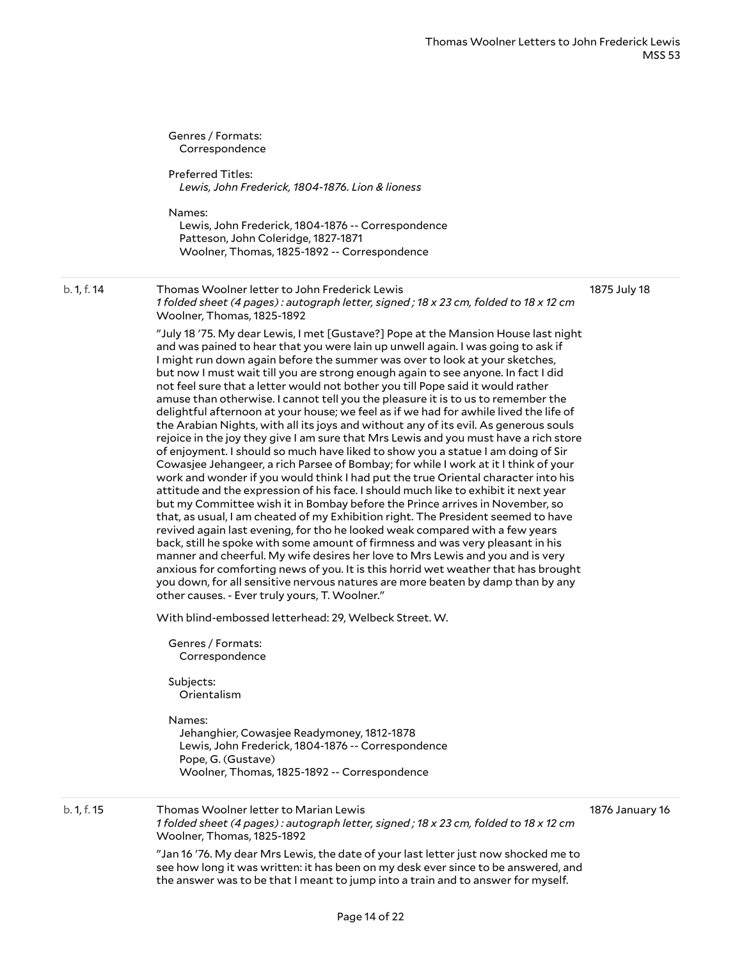Genres / Formats: Correspondence Preferred Titles: *Lewis, John Frederick, 1804-1876. Lion & lioness* Names: Lewis, John Frederick, 1804-1876 -- Correspondence Patteson, John Coleridge, 1827-1871 Woolner, Thomas, 1825-1892 -- Correspondence b. 1, f. 14 Thomas Woolner letter to John Frederick Lewis 1 folded sheet (4 pages): autograph letter, signed; 18 x 23 cm, folded to 18 x 12 cm Woolner, Thomas, 1825-1892 "July 18 '75. My dear Lewis, I met [Gustave?] Pope at the Mansion House last night and was pained to hear that you were lain up unwell again. I was going to ask if I might run down again before the summer was over to look at your sketches, but now I must wait till you are strong enough again to see anyone. In fact I did not feel sure that a letter would not bother you till Pope said it would rather amuse than otherwise. I cannot tell you the pleasure it is to us to remember the delightful afternoon at your house; we feel as if we had for awhile lived the life of the Arabian Nights, with all its joys and without any of its evil. As generous souls rejoice in the joy they give I am sure that Mrs Lewis and you must have a rich store of enjoyment. I should so much have liked to show you a statue I am doing of Sir Cowasjee Jehangeer, a rich Parsee of Bombay; for while I work at it I think of your work and wonder if you would think I had put the true Oriental character into his attitude and the expression of his face. I should much like to exhibit it next year but my Committee wish it in Bombay before the Prince arrives in November, so that, as usual, I am cheated of my Exhibition right. The President seemed to have revived again last evening, for tho he looked weak compared with a few years back, still he spoke with some amount of firmness and was very pleasant in his manner and cheerful. My wife desires her love to Mrs Lewis and you and is very anxious for comforting news of you. It is this horrid wet weather that has brought you down, for all sensitive nervous natures are more beaten by damp than by any other causes. - Ever truly yours, T. Woolner." With blind-embossed letterhead: 29, Welbeck Street. W. Genres / Formats: Correspondence Subjects: Orientalism Names: Jehanghier, Cowasjee Readymoney, 1812-1878 Lewis, John Frederick, 1804-1876 -- Correspondence Pope, G. (Gustave) Woolner, Thomas, 1825-1892 -- Correspondence 1875 July 18 b. 1, f. 15 Thomas Woolner letter to Marian Lewis 1 folded sheet (4 pages): autograph letter, signed; 18 x 23 cm, folded to 18 x 12 cm Woolner, Thomas, 1825-1892 "Jan 16 '76. My dear Mrs Lewis, the date of your last letter just now shocked me to see how long it was written: it has been on my desk ever since to be answered, and 1876 January 16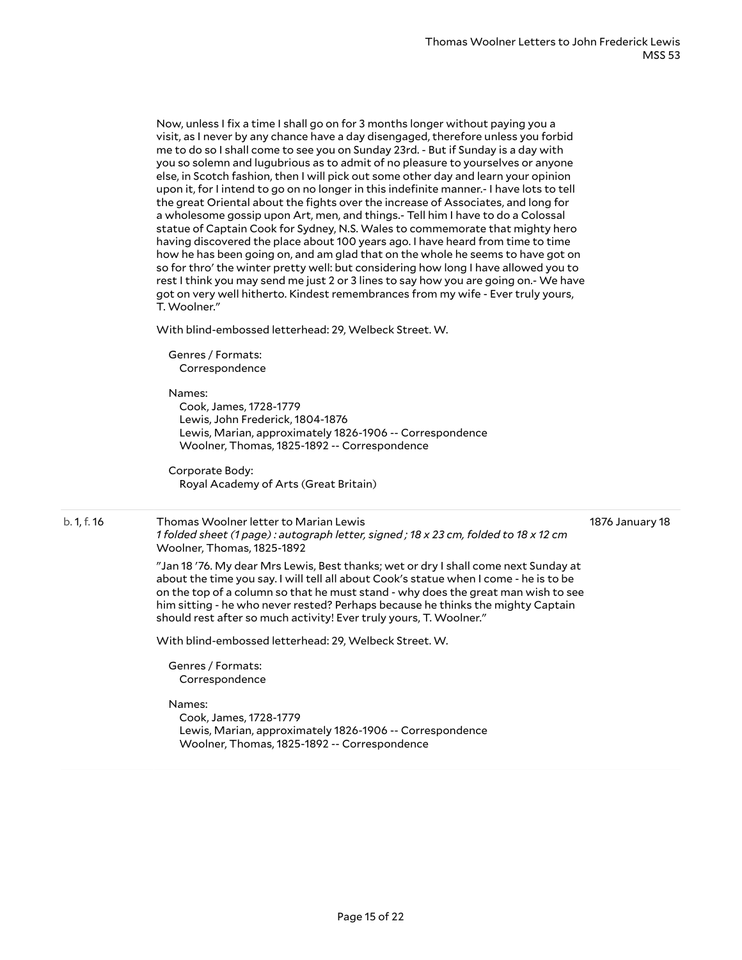Now, unless I fix a time I shall go on for 3 months longer without paying you a visit, as I never by any chance have a day disengaged, therefore unless you forbid me to do so I shall come to see you on Sunday 23rd. - But if Sunday is a day with you so solemn and lugubrious as to admit of no pleasure to yourselves or anyone else, in Scotch fashion, then I will pick out some other day and learn your opinion upon it, for I intend to go on no longer in this indefinite manner.- I have lots to tell the great Oriental about the fights over the increase of Associates, and long for a wholesome gossip upon Art, men, and things.- Tell him I have to do a Colossal statue of Captain Cook for Sydney, N.S. Wales to commemorate that mighty hero having discovered the place about 100 years ago. I have heard from time to time how he has been going on, and am glad that on the whole he seems to have got on so for thro' the winter pretty well: but considering how long I have allowed you to rest I think you may send me just 2 or 3 lines to say how you are going on.- We have got on very well hitherto. Kindest remembrances from my wife - Ever truly yours, T. Woolner."

With blind-embossed letterhead: 29, Welbeck Street. W.

Genres / Formats: Correspondence

#### Names:

Cook, James, 1728-1779 Lewis, John Frederick, 1804-1876 Lewis, Marian, approximately 1826-1906 -- Correspondence Woolner, Thomas, 1825-1892 -- Correspondence

Corporate Body: Royal Academy of Arts (Great Britain)

#### b. 1, f. 16 Thomas Woolner letter to Marian Lewis 1 folded sheet (1 page): autograph letter, signed; 18 x 23 cm, folded to 18 x 12 cm Woolner, Thomas, 1825-1892

1876 January 18

"Jan 18 '76. My dear Mrs Lewis, Best thanks; wet or dry I shall come next Sunday at about the time you say. I will tell all about Cook's statue when I come - he is to be on the top of a column so that he must stand - why does the great man wish to see him sitting - he who never rested? Perhaps because he thinks the mighty Captain should rest after so much activity! Ever truly yours, T. Woolner."

With blind-embossed letterhead: 29, Welbeck Street. W.

Genres / Formats: Correspondence

#### Names:

Cook, James, 1728-1779 Lewis, Marian, approximately 1826-1906 -- Correspondence Woolner, Thomas, 1825-1892 -- Correspondence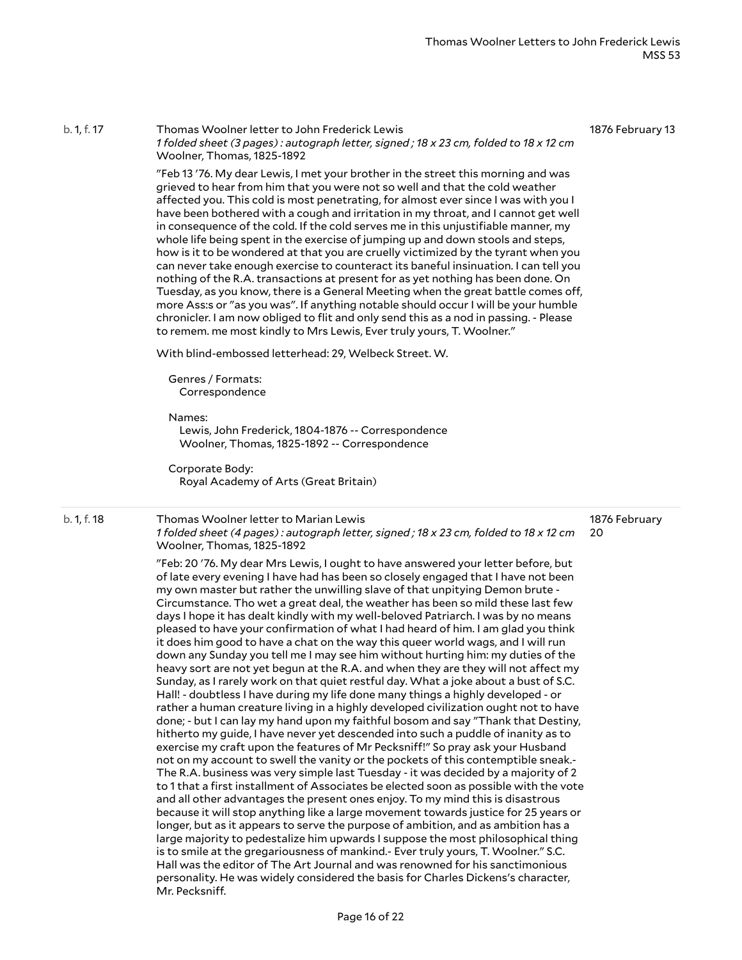b. 1, f. 17 Thomas Woolner letter to John Frederick Lewis 1 folded sheet (3 pages): autograph letter, signed; 18 x 23 cm, folded to 18 x 12 cm Woolner, Thomas, 1825-1892

1876 February 13

"Feb 13 '76. My dear Lewis, I met your brother in the street this morning and was grieved to hear from him that you were not so well and that the cold weather affected you. This cold is most penetrating, for almost ever since I was with you I have been bothered with a cough and irritation in my throat, and I cannot get well in consequence of the cold. If the cold serves me in this unjustifiable manner, my whole life being spent in the exercise of jumping up and down stools and steps, how is it to be wondered at that you are cruelly victimized by the tyrant when you can never take enough exercise to counteract its baneful insinuation. I can tell you nothing of the R.A. transactions at present for as yet nothing has been done. On Tuesday, as you know, there is a General Meeting when the great battle comes off, more Ass:s or "as you was". If anything notable should occur I will be your humble chronicler. I am now obliged to flit and only send this as a nod in passing. - Please to remem. me most kindly to Mrs Lewis, Ever truly yours, T. Woolner."

With blind-embossed letterhead: 29, Welbeck Street. W.

Genres / Formats: Correspondence

Names:

Lewis, John Frederick, 1804-1876 -- Correspondence Woolner, Thomas, 1825-1892 -- Correspondence

Corporate Body: Royal Academy of Arts (Great Britain)

#### b. 1, f. 18 Thomas Woolner letter to Marian Lewis 1 folded sheet (4 pages): autograph letter, signed; 18 x 23 cm, folded to 18 x 12 cm Woolner, Thomas, 1825-1892

1876 February 20

"Feb: 20 '76. My dear Mrs Lewis, I ought to have answered your letter before, but of late every evening I have had has been so closely engaged that I have not been my own master but rather the unwilling slave of that unpitying Demon brute - Circumstance. Tho wet a great deal, the weather has been so mild these last few days I hope it has dealt kindly with my well-beloved Patriarch. I was by no means pleased to have your confirmation of what I had heard of him. I am glad you think it does him good to have a chat on the way this queer world wags, and I will run down any Sunday you tell me I may see him without hurting him: my duties of the heavy sort are not yet begun at the R.A. and when they are they will not affect my Sunday, as I rarely work on that quiet restful day. What a joke about a bust of S.C. Hall! - doubtless I have during my life done many things a highly developed - or rather a human creature living in a highly developed civilization ought not to have done; - but I can lay my hand upon my faithful bosom and say "Thank that Destiny, hitherto my guide, I have never yet descended into such a puddle of inanity as to exercise my craft upon the features of Mr Pecksniff!" So pray ask your Husband not on my account to swell the vanity or the pockets of this contemptible sneak.- The R.A. business was very simple last Tuesday - it was decided by a majority of 2 to 1 that a first installment of Associates be elected soon as possible with the vote and all other advantages the present ones enjoy. To my mind this is disastrous because it will stop anything like a large movement towards justice for 25 years or longer, but as it appears to serve the purpose of ambition, and as ambition has a large majority to pedestalize him upwards I suppose the most philosophical thing is to smile at the gregariousness of mankind.- Ever truly yours, T. Woolner." S.C. Hall was the editor of The Art Journal and was renowned for his sanctimonious personality. He was widely considered the basis for Charles Dickens's character, Mr. Pecksniff.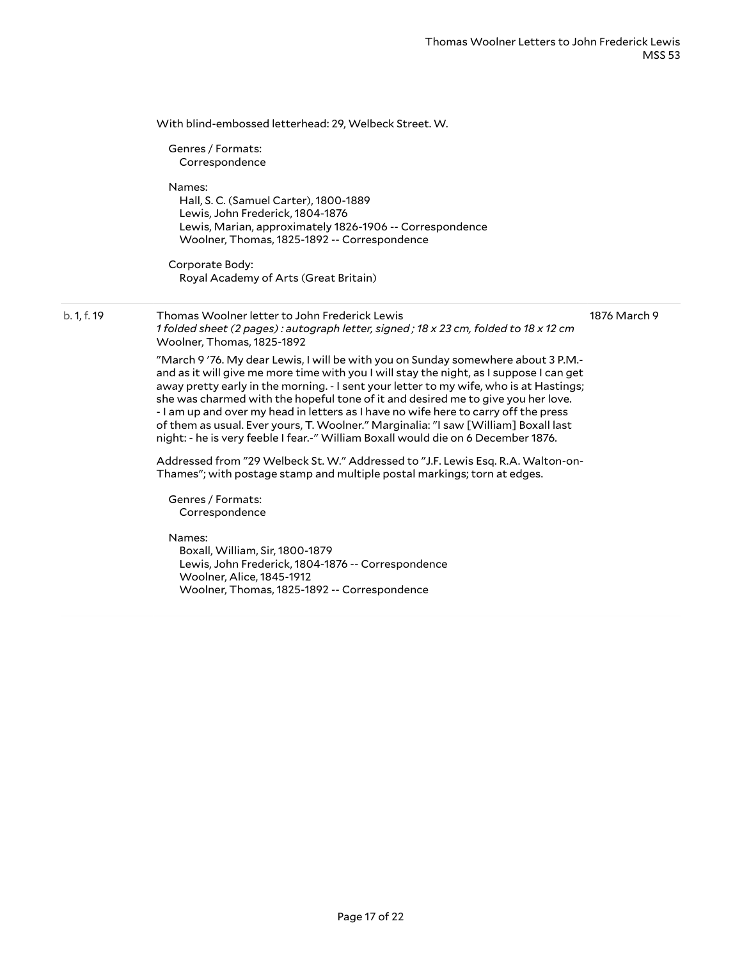|             | With blind-embossed letterhead: 29, Welbeck Street. W.                                                                                                                                                                                                                                                                                                                                                                                                                                                                                                                                                                       |              |
|-------------|------------------------------------------------------------------------------------------------------------------------------------------------------------------------------------------------------------------------------------------------------------------------------------------------------------------------------------------------------------------------------------------------------------------------------------------------------------------------------------------------------------------------------------------------------------------------------------------------------------------------------|--------------|
|             | Genres / Formats:<br>Correspondence                                                                                                                                                                                                                                                                                                                                                                                                                                                                                                                                                                                          |              |
|             | Names:<br>Hall, S. C. (Samuel Carter), 1800-1889<br>Lewis, John Frederick, 1804-1876<br>Lewis, Marian, approximately 1826-1906 -- Correspondence<br>Woolner, Thomas, 1825-1892 -- Correspondence                                                                                                                                                                                                                                                                                                                                                                                                                             |              |
|             | Corporate Body:<br>Royal Academy of Arts (Great Britain)                                                                                                                                                                                                                                                                                                                                                                                                                                                                                                                                                                     |              |
| b. 1, f. 19 | Thomas Woolner letter to John Frederick Lewis<br>1 folded sheet (2 pages): autograph letter, signed; 18 x 23 cm, folded to 18 x 12 cm<br>Woolner, Thomas, 1825-1892                                                                                                                                                                                                                                                                                                                                                                                                                                                          | 1876 March 9 |
|             | "March 9'76. My dear Lewis, I will be with you on Sunday somewhere about 3 P.M.-<br>and as it will give me more time with you I will stay the night, as I suppose I can get<br>away pretty early in the morning. - I sent your letter to my wife, who is at Hastings;<br>she was charmed with the hopeful tone of it and desired me to give you her love.<br>- I am up and over my head in letters as I have no wife here to carry off the press<br>of them as usual. Ever yours, T. Woolner." Marginalia: "I saw [William] Boxall last<br>night: - he is very feeble I fear.-" William Boxall would die on 6 December 1876. |              |
|             | Addressed from "29 Welbeck St. W." Addressed to "J.F. Lewis Esq. R.A. Walton-on-<br>Thames"; with postage stamp and multiple postal markings; torn at edges.                                                                                                                                                                                                                                                                                                                                                                                                                                                                 |              |
|             | Genres / Formats:<br>Correspondence                                                                                                                                                                                                                                                                                                                                                                                                                                                                                                                                                                                          |              |
|             | Names:<br>Boxall, William, Sir, 1800-1879<br>Lewis, John Frederick, 1804-1876 -- Correspondence<br>Woolner, Alice, 1845-1912<br>Woolner, Thomas, 1825-1892 -- Correspondence                                                                                                                                                                                                                                                                                                                                                                                                                                                 |              |
|             |                                                                                                                                                                                                                                                                                                                                                                                                                                                                                                                                                                                                                              |              |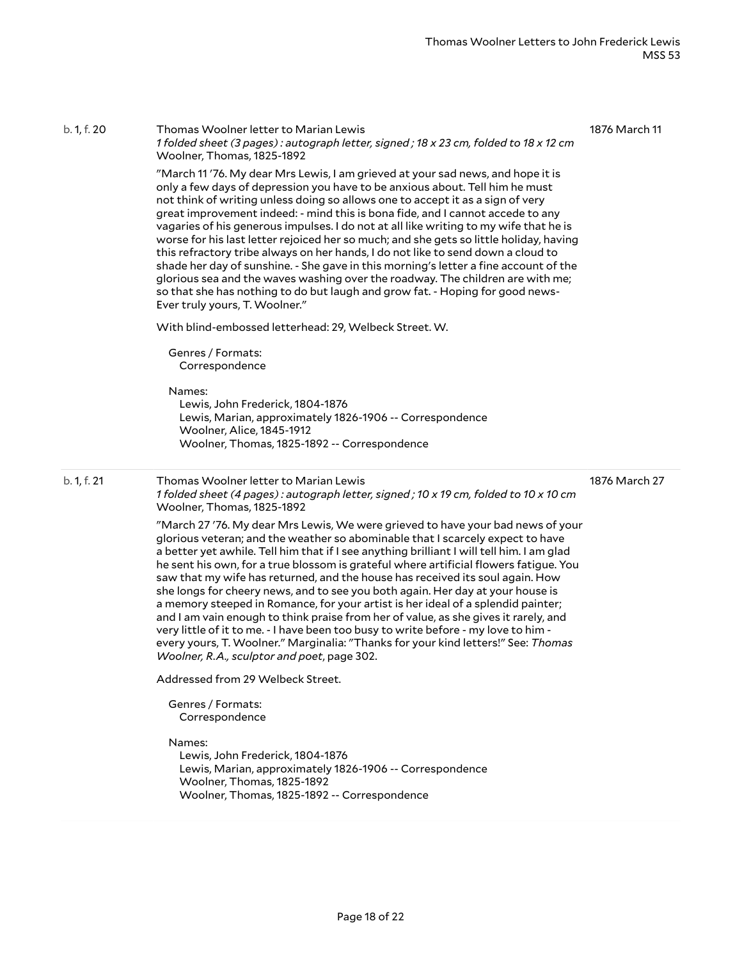| b. 1, f. 20 | Thomas Woolner letter to Marian Lewis<br>1 folded sheet (3 pages): autograph letter, signed; 18 x 23 cm, folded to 18 x 12 cm<br>Woolner, Thomas, 1825-1892<br>"March 11 '76. My dear Mrs Lewis, I am grieved at your sad news, and hope it is<br>only a few days of depression you have to be anxious about. Tell him he must<br>not think of writing unless doing so allows one to accept it as a sign of very<br>great improvement indeed: - mind this is bona fide, and I cannot accede to any<br>vagaries of his generous impulses. I do not at all like writing to my wife that he is<br>worse for his last letter rejoiced her so much; and she gets so little holiday, having<br>this refractory tribe always on her hands, I do not like to send down a cloud to<br>shade her day of sunshine. - She gave in this morning's letter a fine account of the<br>glorious sea and the waves washing over the roadway. The children are with me;<br>so that she has nothing to do but laugh and grow fat. - Hoping for good news-<br>Ever truly yours, T. Woolner."<br>With blind-embossed letterhead: 29, Welbeck Street. W.<br>Genres / Formats:<br>Correspondence<br>Names:<br>Lewis, John Frederick, 1804-1876<br>Lewis, Marian, approximately 1826-1906 -- Correspondence<br>Woolner, Alice, 1845-1912<br>Woolner, Thomas, 1825-1892 -- Correspondence     | 1876 March 11 |
|-------------|--------------------------------------------------------------------------------------------------------------------------------------------------------------------------------------------------------------------------------------------------------------------------------------------------------------------------------------------------------------------------------------------------------------------------------------------------------------------------------------------------------------------------------------------------------------------------------------------------------------------------------------------------------------------------------------------------------------------------------------------------------------------------------------------------------------------------------------------------------------------------------------------------------------------------------------------------------------------------------------------------------------------------------------------------------------------------------------------------------------------------------------------------------------------------------------------------------------------------------------------------------------------------------------------------------------------------------------------------------------------|---------------|
| b. 1, f. 21 | Thomas Woolner letter to Marian Lewis<br>1 folded sheet (4 pages): autograph letter, signed; 10 x 19 cm, folded to 10 x 10 cm<br>Woolner, Thomas, 1825-1892<br>"March 27 '76. My dear Mrs Lewis, We were grieved to have your bad news of your<br>glorious veteran; and the weather so abominable that I scarcely expect to have<br>a better yet awhile. Tell him that if I see anything brilliant I will tell him. I am glad<br>he sent his own, for a true blossom is grateful where artificial flowers fatigue. You<br>saw that my wife has returned, and the house has received its soul again. How<br>she longs for cheery news, and to see you both again. Her day at your house is<br>a memory steeped in Romance, for your artist is her ideal of a splendid painter;<br>and I am vain enough to think praise from her of value, as she gives it rarely, and<br>very little of it to me. - I have been too busy to write before - my love to him -<br>every yours, T. Woolner." Marginalia: "Thanks for your kind letters!" See: Thomas<br>Woolner, R.A., sculptor and poet, page 302.<br>Addressed from 29 Welbeck Street.<br>Genres / Formats:<br>Correspondence<br>Names:<br>Lewis, John Frederick, 1804-1876<br>Lewis, Marian, approximately 1826-1906 -- Correspondence<br>Woolner, Thomas, 1825-1892<br>Woolner, Thomas, 1825-1892 -- Correspondence | 1876 March 27 |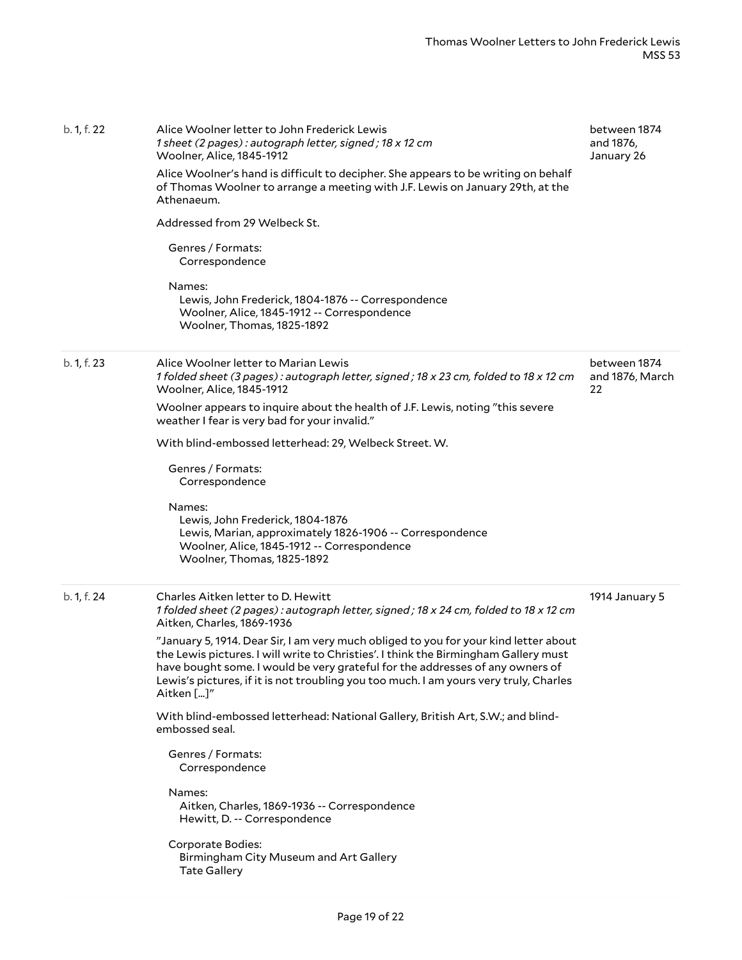| b. 1, f. 22 | Alice Woolner letter to John Frederick Lewis<br>1 sheet (2 pages): autograph letter, signed; 18 x 12 cm<br>Woolner, Alice, 1845-1912<br>Alice Woolner's hand is difficult to decipher. She appears to be writing on behalf<br>of Thomas Woolner to arrange a meeting with J.F. Lewis on January 29th, at the<br>Athenaeum.<br>Addressed from 29 Welbeck St.<br>Genres / Formats:<br>Correspondence<br>Names:<br>Lewis, John Frederick, 1804-1876 -- Correspondence<br>Woolner, Alice, 1845-1912 -- Correspondence<br>Woolner, Thomas, 1825-1892 | between 1874<br>and 1876,<br>January 26 |
|-------------|-------------------------------------------------------------------------------------------------------------------------------------------------------------------------------------------------------------------------------------------------------------------------------------------------------------------------------------------------------------------------------------------------------------------------------------------------------------------------------------------------------------------------------------------------|-----------------------------------------|
| b. 1, f. 23 | Alice Woolner letter to Marian Lewis<br>1 folded sheet (3 pages): autograph letter, signed; 18 x 23 cm, folded to 18 x 12 cm<br>Woolner, Alice, 1845-1912<br>Woolner appears to inquire about the health of J.F. Lewis, noting "this severe<br>weather I fear is very bad for your invalid."                                                                                                                                                                                                                                                    | between 1874<br>and 1876, March<br>22   |
|             | With blind-embossed letterhead: 29, Welbeck Street. W.                                                                                                                                                                                                                                                                                                                                                                                                                                                                                          |                                         |
|             | Genres / Formats:<br>Correspondence                                                                                                                                                                                                                                                                                                                                                                                                                                                                                                             |                                         |
|             | Names:<br>Lewis, John Frederick, 1804-1876<br>Lewis, Marian, approximately 1826-1906 -- Correspondence<br>Woolner, Alice, 1845-1912 -- Correspondence<br>Woolner, Thomas, 1825-1892                                                                                                                                                                                                                                                                                                                                                             |                                         |
| b. 1, f. 24 | Charles Aitken letter to D. Hewitt<br>1 folded sheet (2 pages): autograph letter, signed; 18 x 24 cm, folded to 18 x 12 cm<br>Aitken, Charles, 1869-1936                                                                                                                                                                                                                                                                                                                                                                                        | 1914 January 5                          |
|             | "January 5, 1914. Dear Sir, I am very much obliged to you for your kind letter about<br>the Lewis pictures. I will write to Christies'. I think the Birmingham Gallery must<br>have bought some. I would be very grateful for the addresses of any owners of<br>Lewis's pictures, if it is not troubling you too much. I am yours very truly, Charles<br>Aitken []"                                                                                                                                                                             |                                         |
|             | With blind-embossed letterhead: National Gallery, British Art, S.W.; and blind-<br>embossed seal.                                                                                                                                                                                                                                                                                                                                                                                                                                               |                                         |
|             | Genres / Formats:<br>Correspondence                                                                                                                                                                                                                                                                                                                                                                                                                                                                                                             |                                         |
|             | Names:<br>Aitken, Charles, 1869-1936 -- Correspondence<br>Hewitt, D. -- Correspondence                                                                                                                                                                                                                                                                                                                                                                                                                                                          |                                         |
|             | Corporate Bodies:<br>Birmingham City Museum and Art Gallery<br><b>Tate Gallery</b>                                                                                                                                                                                                                                                                                                                                                                                                                                                              |                                         |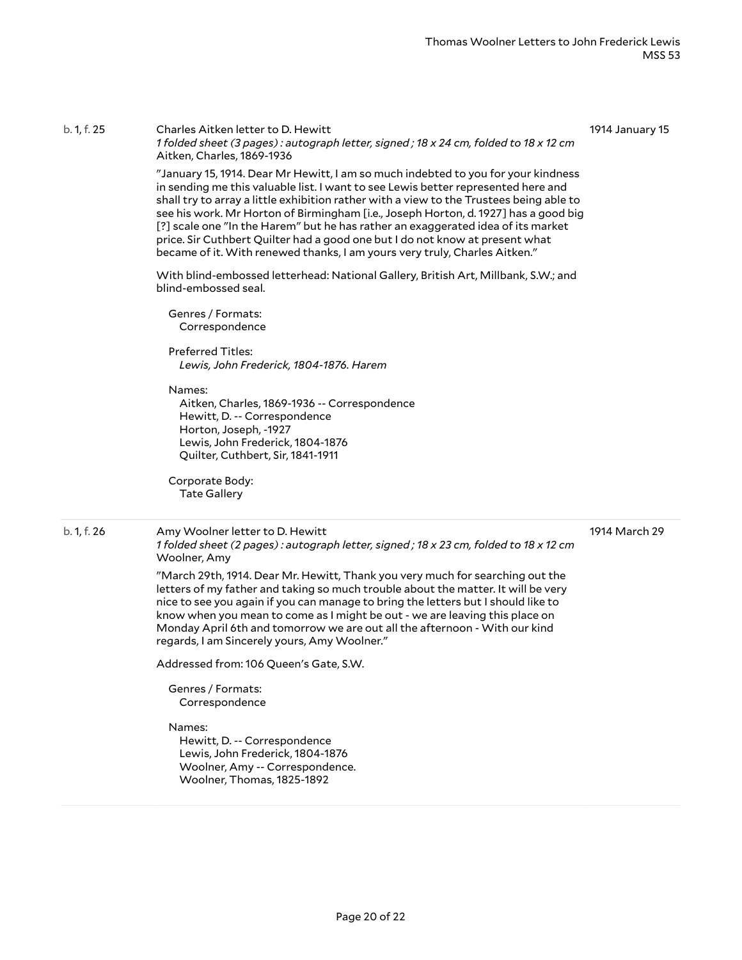#### b. 1, f. 25 Charles Aitken letter to D. Hewitt 1 folded sheet (3 pages): autograph letter, signed; 18 x 24 cm, folded to 18 x 12 cm Aitken, Charles, 1869-1936

1914 January 15

"January 15, 1914. Dear Mr Hewitt, I am so much indebted to you for your kindness in sending me this valuable list. I want to see Lewis better represented here and shall try to array a little exhibition rather with a view to the Trustees being able to see his work. Mr Horton of Birmingham [i.e., Joseph Horton, d. 1927] has a good big [?] scale one "In the Harem" but he has rather an exaggerated idea of its market price. Sir Cuthbert Quilter had a good one but I do not know at present what became of it. With renewed thanks, I am yours very truly, Charles Aitken."

With blind-embossed letterhead: National Gallery, British Art, Millbank, S.W.; and blind-embossed seal.

Genres / Formats: Correspondence

Preferred Titles: *Lewis, John Frederick, 1804-1876. Harem*

Names:

Aitken, Charles, 1869-1936 -- Correspondence Hewitt, D. -- Correspondence Horton, Joseph, -1927 Lewis, John Frederick, 1804-1876 Quilter, Cuthbert, Sir, 1841-1911

Corporate Body: Tate Gallery

#### b. 1, f. 26 Amy Woolner letter to D. Hewitt

1914 March 29

1 folded sheet (2 pages): autograph letter, signed; 18 x 23 cm, folded to 18 x 12 cm Woolner, Amy

"March 29th, 1914. Dear Mr. Hewitt, Thank you very much for searching out the letters of my father and taking so much trouble about the matter. It will be very nice to see you again if you can manage to bring the letters but I should like to know when you mean to come as I might be out - we are leaving this place on Monday April 6th and tomorrow we are out all the afternoon - With our kind regards, I am Sincerely yours, Amy Woolner."

Addressed from: 106 Queen's Gate, S.W.

Genres / Formats: Correspondence

Names:

Hewitt, D. -- Correspondence Lewis, John Frederick, 1804-1876 Woolner, Amy -- Correspondence. Woolner, Thomas, 1825-1892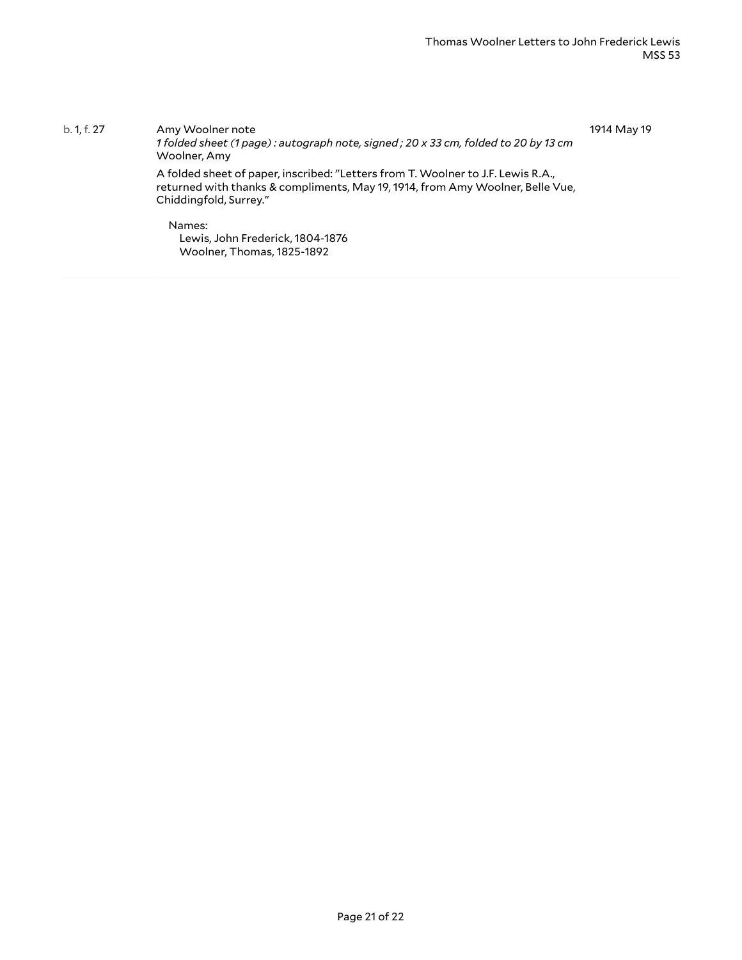b. 1, f. 27 Amy Woolner note *1 folded sheet (1 page) : autograph note, signed ; 20 x 33 cm, folded to 20 by 13 cm* Woolner, Amy A folded sheet of paper, inscribed: "Letters from T. Woolner to J.F. Lewis R.A., returned with thanks & compliments, May 19, 1914, from Amy Woolner, Belle Vue, Chiddingfold, Surrey." Names: Lewis, John Frederick, 1804-1876 Woolner, Thomas, 1825-1892 1914 May 19